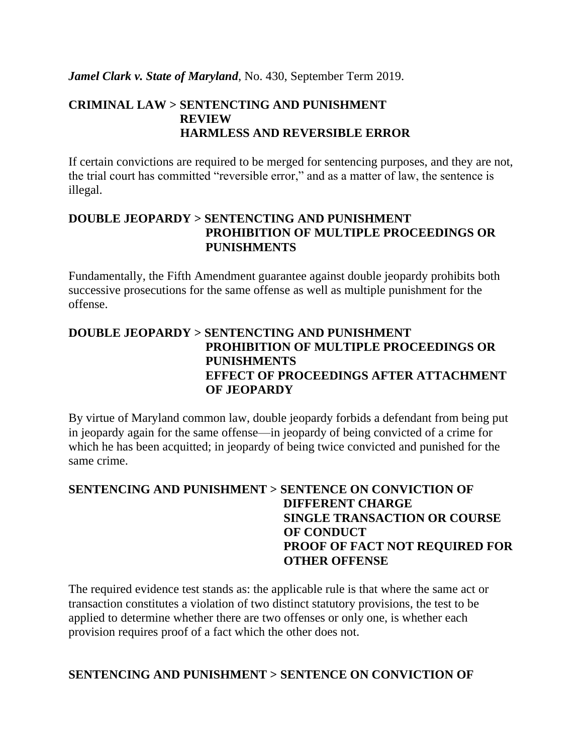*Jamel Clark v. State of Maryland*, No. 430, September Term 2019.

# **CRIMINAL LAW > SENTENCTING AND PUNISHMENT REVIEW HARMLESS AND REVERSIBLE ERROR**

If certain convictions are required to be merged for sentencing purposes, and they are not, the trial court has committed "reversible error," and as a matter of law, the sentence is illegal.

#### **DOUBLE JEOPARDY > SENTENCTING AND PUNISHMENT PROHIBITION OF MULTIPLE PROCEEDINGS OR PUNISHMENTS**

Fundamentally, the Fifth Amendment guarantee against double jeopardy prohibits both successive prosecutions for the same offense as well as multiple punishment for the offense.

# **DOUBLE JEOPARDY > SENTENCTING AND PUNISHMENT PROHIBITION OF MULTIPLE PROCEEDINGS OR PUNISHMENTS EFFECT OF PROCEEDINGS AFTER ATTACHMENT OF JEOPARDY**

By virtue of Maryland common law, double jeopardy forbids a defendant from being put in jeopardy again for the same offense—in jeopardy of being convicted of a crime for which he has been acquitted; in jeopardy of being twice convicted and punished for the same crime.

# **SENTENCING AND PUNISHMENT > SENTENCE ON CONVICTION OF DIFFERENT CHARGE SINGLE TRANSACTION OR COURSE OF CONDUCT PROOF OF FACT NOT REQUIRED FOR OTHER OFFENSE**

The required evidence test stands as: the applicable rule is that where the same act or transaction constitutes a violation of two distinct statutory provisions, the test to be applied to determine whether there are two offenses or only one, is whether each provision requires proof of a fact which the other does not.

#### **SENTENCING AND PUNISHMENT > SENTENCE ON CONVICTION OF**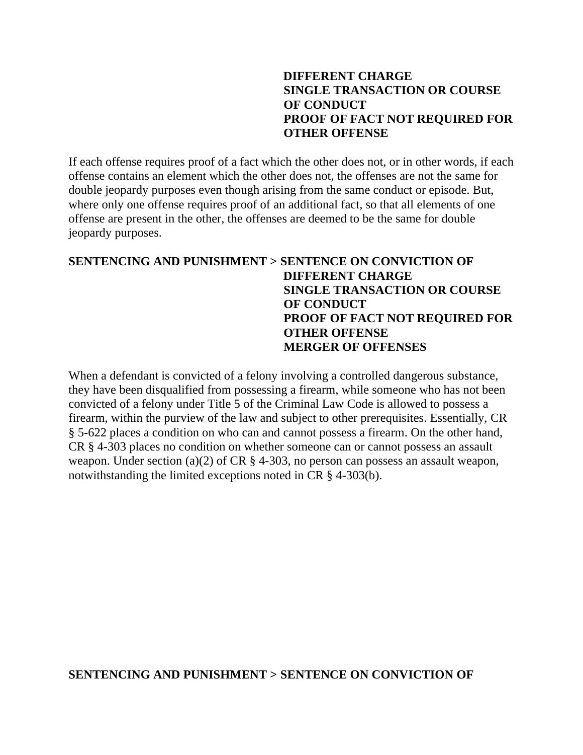#### **DIFFERENT CHARGE SINGLE TRANSACTION OR COURSE OF CONDUCT PROOF OF FACT NOT REQUIRED FOR OTHER OFFENSE**

If each offense requires proof of a fact which the other does not, or in other words, if each offense contains an element which the other does not, the offenses are not the same for double jeopardy purposes even though arising from the same conduct or episode. But, where only one offense requires proof of an additional fact, so that all elements of one offense are present in the other, the offenses are deemed to be the same for double jeopardy purposes.

# **SENTENCING AND PUNISHMENT > SENTENCE ON CONVICTION OF DIFFERENT CHARGE SINGLE TRANSACTION OR COURSE OF CONDUCT PROOF OF FACT NOT REQUIRED FOR OTHER OFFENSE MERGER OF OFFENSES**

When a defendant is convicted of a felony involving a controlled dangerous substance, they have been disqualified from possessing a firearm, while someone who has not been convicted of a felony under Title 5 of the Criminal Law Code is allowed to possess a firearm, within the purview of the law and subject to other prerequisites. Essentially, CR § 5-622 places a condition on who can and cannot possess a firearm. On the other hand, CR § 4-303 places no condition on whether someone can or cannot possess an assault weapon. Under section (a)(2) of CR § 4-303, no person can possess an assault weapon, notwithstanding the limited exceptions noted in CR § 4-303(b).

#### **SENTENCING AND PUNISHMENT > SENTENCE ON CONVICTION OF**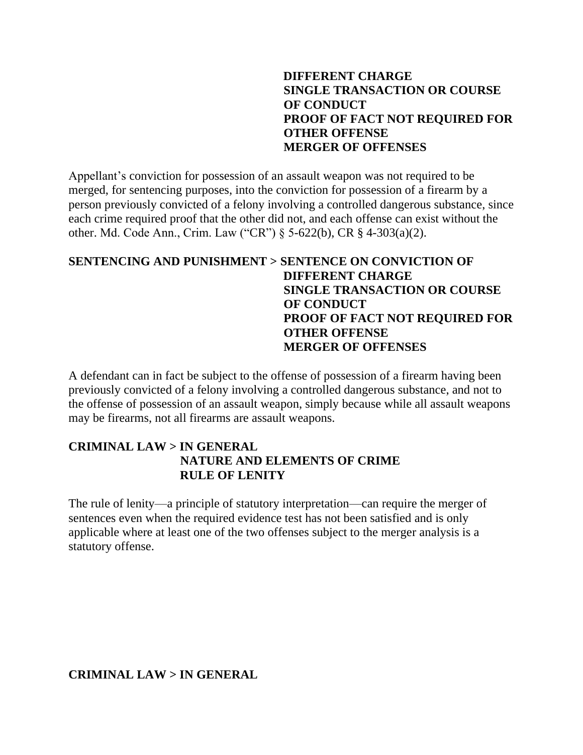# **DIFFERENT CHARGE SINGLE TRANSACTION OR COURSE OF CONDUCT PROOF OF FACT NOT REQUIRED FOR OTHER OFFENSE MERGER OF OFFENSES**

Appellant's conviction for possession of an assault weapon was not required to be merged, for sentencing purposes, into the conviction for possession of a firearm by a person previously convicted of a felony involving a controlled dangerous substance, since each crime required proof that the other did not, and each offense can exist without the other. Md. Code Ann., Crim. Law ("CR") § 5-622(b), CR § 4-303(a)(2).

# **SENTENCING AND PUNISHMENT > SENTENCE ON CONVICTION OF DIFFERENT CHARGE SINGLE TRANSACTION OR COURSE OF CONDUCT PROOF OF FACT NOT REQUIRED FOR OTHER OFFENSE MERGER OF OFFENSES**

A defendant can in fact be subject to the offense of possession of a firearm having been previously convicted of a felony involving a controlled dangerous substance, and not to the offense of possession of an assault weapon, simply because while all assault weapons may be firearms, not all firearms are assault weapons.

# **CRIMINAL LAW > IN GENERAL NATURE AND ELEMENTS OF CRIME RULE OF LENITY**

The rule of lenity—a principle of statutory interpretation—can require the merger of sentences even when the required evidence test has not been satisfied and is only applicable where at least one of the two offenses subject to the merger analysis is a statutory offense.

**CRIMINAL LAW > IN GENERAL**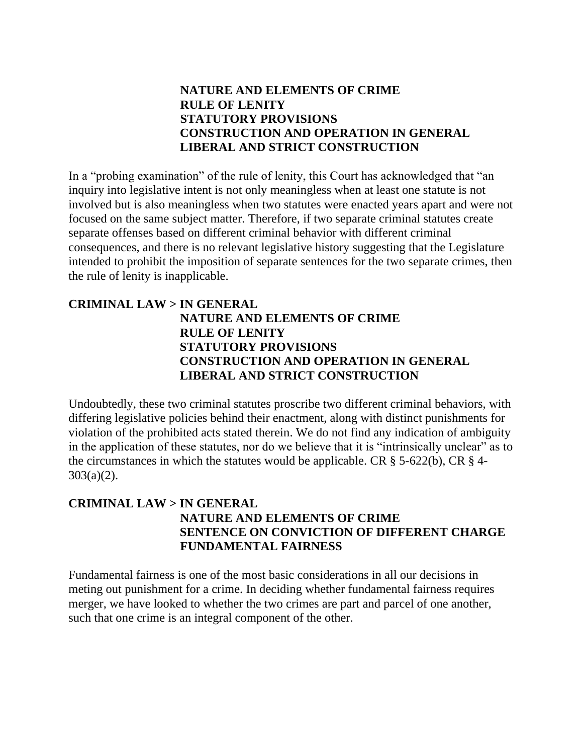# **NATURE AND ELEMENTS OF CRIME RULE OF LENITY STATUTORY PROVISIONS CONSTRUCTION AND OPERATION IN GENERAL LIBERAL AND STRICT CONSTRUCTION**

In a "probing examination" of the rule of lenity, this Court has acknowledged that "an inquiry into legislative intent is not only meaningless when at least one statute is not involved but is also meaningless when two statutes were enacted years apart and were not focused on the same subject matter. Therefore, if two separate criminal statutes create separate offenses based on different criminal behavior with different criminal consequences, and there is no relevant legislative history suggesting that the Legislature intended to prohibit the imposition of separate sentences for the two separate crimes, then the rule of lenity is inapplicable.

#### **CRIMINAL LAW > IN GENERAL NATURE AND ELEMENTS OF CRIME RULE OF LENITY STATUTORY PROVISIONS CONSTRUCTION AND OPERATION IN GENERAL LIBERAL AND STRICT CONSTRUCTION**

Undoubtedly, these two criminal statutes proscribe two different criminal behaviors, with differing legislative policies behind their enactment, along with distinct punishments for violation of the prohibited acts stated therein. We do not find any indication of ambiguity in the application of these statutes, nor do we believe that it is "intrinsically unclear" as to the circumstances in which the statutes would be applicable. CR  $\S$  5-622(b), CR  $\S$  4-303(a)(2).

### **CRIMINAL LAW > IN GENERAL NATURE AND ELEMENTS OF CRIME SENTENCE ON CONVICTION OF DIFFERENT CHARGE FUNDAMENTAL FAIRNESS**

Fundamental fairness is one of the most basic considerations in all our decisions in meting out punishment for a crime. In deciding whether fundamental fairness requires merger, we have looked to whether the two crimes are part and parcel of one another, such that one crime is an integral component of the other.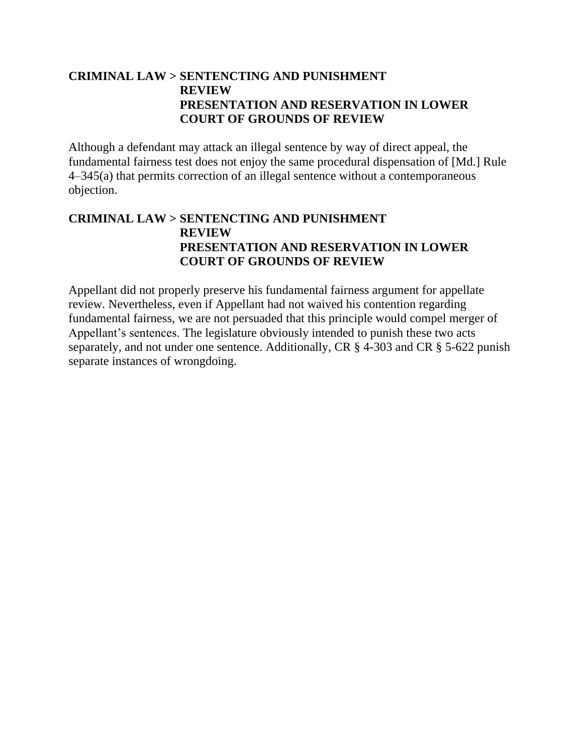# **CRIMINAL LAW > SENTENCTING AND PUNISHMENT REVIEW PRESENTATION AND RESERVATION IN LOWER COURT OF GROUNDS OF REVIEW**

Although a defendant may attack an illegal sentence by way of direct appeal, the fundamental fairness test does not enjoy the same procedural dispensation of [Md.] Rule 4–345(a) that permits correction of an illegal sentence without a contemporaneous objection.

# **CRIMINAL LAW > SENTENCTING AND PUNISHMENT REVIEW PRESENTATION AND RESERVATION IN LOWER COURT OF GROUNDS OF REVIEW**

Appellant did not properly preserve his fundamental fairness argument for appellate review. Nevertheless, even if Appellant had not waived his contention regarding fundamental fairness, we are not persuaded that this principle would compel merger of Appellant's sentences. The legislature obviously intended to punish these two acts separately, and not under one sentence. Additionally, CR § 4-303 and CR § 5-622 punish separate instances of wrongdoing.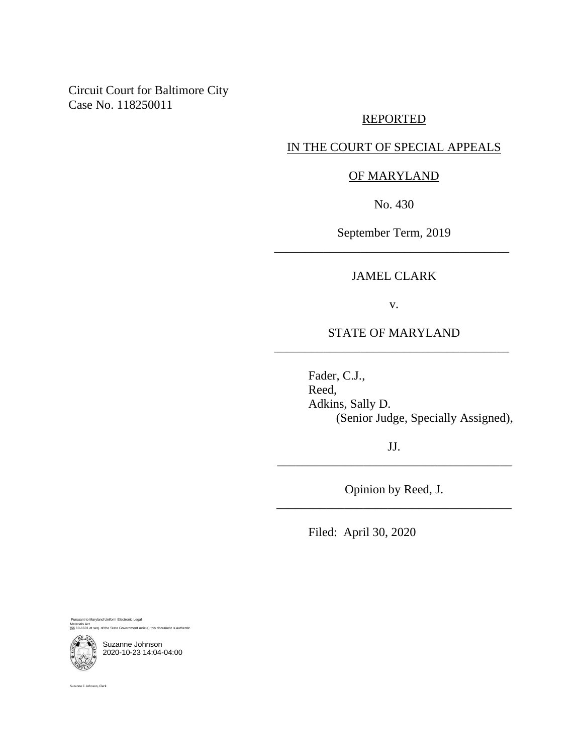Circuit Court for Baltimore City Case No. 118250011

#### REPORTED

#### IN THE COURT OF SPECIAL APPEALS

#### OF MARYLAND

No. 430

September Term, 2019 \_\_\_\_\_\_\_\_\_\_\_\_\_\_\_\_\_\_\_\_\_\_\_\_\_\_\_\_\_\_\_\_\_\_\_\_\_\_

#### JAMEL CLARK

v.

#### STATE OF MARYLAND \_\_\_\_\_\_\_\_\_\_\_\_\_\_\_\_\_\_\_\_\_\_\_\_\_\_\_\_\_\_\_\_\_\_\_\_\_\_

Fader, C.J., Reed, Adkins, Sally D. (Senior Judge, Specially Assigned),

JJ. \_\_\_\_\_\_\_\_\_\_\_\_\_\_\_\_\_\_\_\_\_\_\_\_\_\_\_\_\_\_\_\_\_\_\_\_\_\_

Opinion by Reed, J. \_\_\_\_\_\_\_\_\_\_\_\_\_\_\_\_\_\_\_\_\_\_\_\_\_\_\_\_\_\_\_\_\_\_\_\_\_\_

Filed: April 30, 2020

Pursuant to Maryland Uniform Electronic Legal Materials Act materiais Act<br>(§§ 10-1601 et seq. of the State Government Article) this document is authe

Suzanne Johnson 2020-10-23 14:04-04:00

Suzanne C. Johnson, Clerk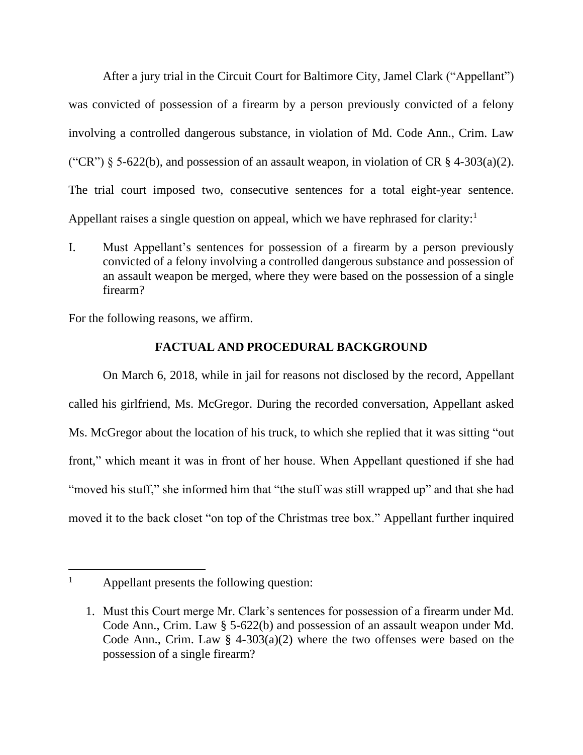After a jury trial in the Circuit Court for Baltimore City, Jamel Clark ("Appellant") was convicted of possession of a firearm by a person previously convicted of a felony involving a controlled dangerous substance, in violation of Md. Code Ann., Crim. Law ("CR")  $\S$  5-622(b), and possession of an assault weapon, in violation of CR  $\S$  4-303(a)(2). The trial court imposed two, consecutive sentences for a total eight-year sentence. Appellant raises a single question on appeal, which we have rephrased for clarity:<sup>1</sup>

I. Must Appellant's sentences for possession of a firearm by a person previously convicted of a felony involving a controlled dangerous substance and possession of an assault weapon be merged, where they were based on the possession of a single firearm?

For the following reasons, we affirm.

# **FACTUAL AND PROCEDURAL BACKGROUND**

On March 6, 2018, while in jail for reasons not disclosed by the record, Appellant called his girlfriend, Ms. McGregor. During the recorded conversation, Appellant asked Ms. McGregor about the location of his truck, to which she replied that it was sitting "out front," which meant it was in front of her house. When Appellant questioned if she had "moved his stuff," she informed him that "the stuff was still wrapped up" and that she had moved it to the back closet "on top of the Christmas tree box." Appellant further inquired

<sup>&</sup>lt;sup>1</sup> Appellant presents the following question:

<sup>1.</sup> Must this Court merge Mr. Clark's sentences for possession of a firearm under Md. Code Ann., Crim. Law § 5-622(b) and possession of an assault weapon under Md. Code Ann., Crim. Law  $\S$  4-303(a)(2) where the two offenses were based on the possession of a single firearm?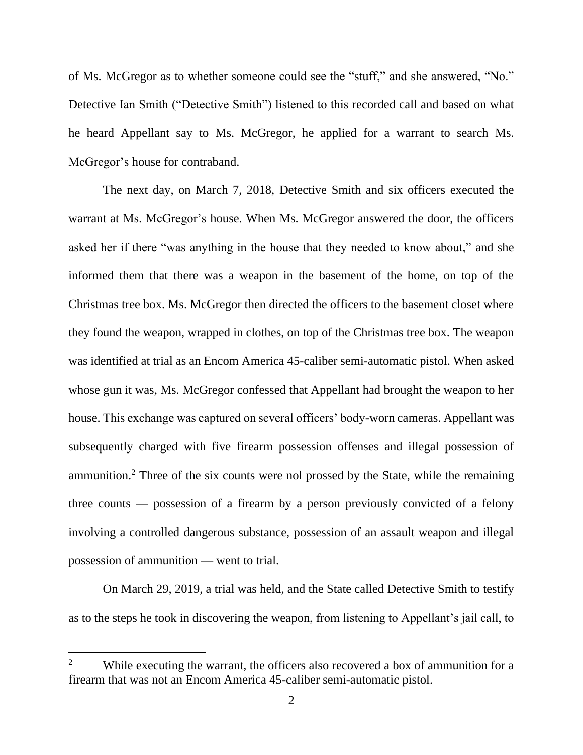of Ms. McGregor as to whether someone could see the "stuff," and she answered, "No." Detective Ian Smith ("Detective Smith") listened to this recorded call and based on what he heard Appellant say to Ms. McGregor, he applied for a warrant to search Ms. McGregor's house for contraband.

The next day, on March 7, 2018, Detective Smith and six officers executed the warrant at Ms. McGregor's house. When Ms. McGregor answered the door, the officers asked her if there "was anything in the house that they needed to know about," and she informed them that there was a weapon in the basement of the home, on top of the Christmas tree box. Ms. McGregor then directed the officers to the basement closet where they found the weapon, wrapped in clothes, on top of the Christmas tree box. The weapon was identified at trial as an Encom America 45-caliber semi-automatic pistol. When asked whose gun it was, Ms. McGregor confessed that Appellant had brought the weapon to her house. This exchange was captured on several officers' body-worn cameras. Appellant was subsequently charged with five firearm possession offenses and illegal possession of ammunition.<sup>2</sup> Three of the six counts were nol prossed by the State, while the remaining three counts — possession of a firearm by a person previously convicted of a felony involving a controlled dangerous substance, possession of an assault weapon and illegal possession of ammunition — went to trial.

On March 29, 2019, a trial was held, and the State called Detective Smith to testify as to the steps he took in discovering the weapon, from listening to Appellant's jail call, to

<sup>&</sup>lt;sup>2</sup> While executing the warrant, the officers also recovered a box of ammunition for a firearm that was not an Encom America 45-caliber semi-automatic pistol.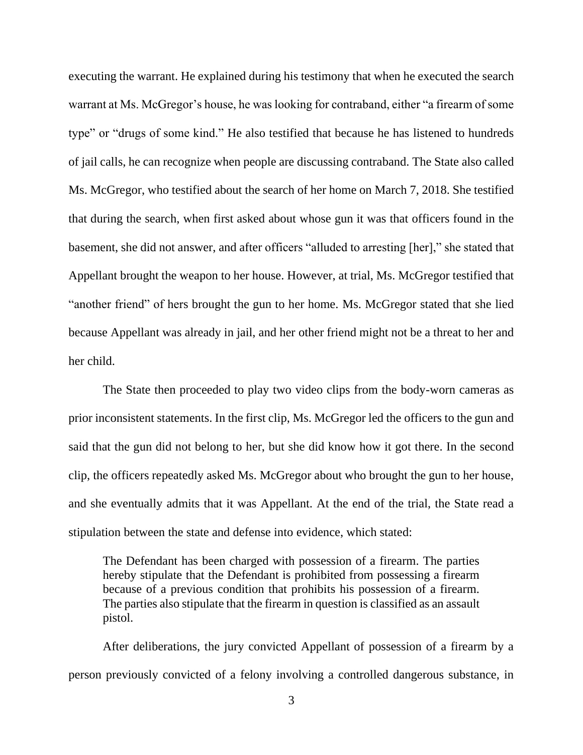executing the warrant. He explained during his testimony that when he executed the search warrant at Ms. McGregor's house, he was looking for contraband, either "a firearm of some type" or "drugs of some kind." He also testified that because he has listened to hundreds of jail calls, he can recognize when people are discussing contraband. The State also called Ms. McGregor, who testified about the search of her home on March 7, 2018. She testified that during the search, when first asked about whose gun it was that officers found in the basement, she did not answer, and after officers "alluded to arresting [her]," she stated that Appellant brought the weapon to her house. However, at trial, Ms. McGregor testified that "another friend" of hers brought the gun to her home. Ms. McGregor stated that she lied because Appellant was already in jail, and her other friend might not be a threat to her and her child.

The State then proceeded to play two video clips from the body-worn cameras as prior inconsistent statements. In the first clip, Ms. McGregor led the officers to the gun and said that the gun did not belong to her, but she did know how it got there. In the second clip, the officers repeatedly asked Ms. McGregor about who brought the gun to her house, and she eventually admits that it was Appellant. At the end of the trial, the State read a stipulation between the state and defense into evidence, which stated:

The Defendant has been charged with possession of a firearm. The parties hereby stipulate that the Defendant is prohibited from possessing a firearm because of a previous condition that prohibits his possession of a firearm. The parties also stipulate that the firearm in question is classified as an assault pistol.

After deliberations, the jury convicted Appellant of possession of a firearm by a person previously convicted of a felony involving a controlled dangerous substance, in

3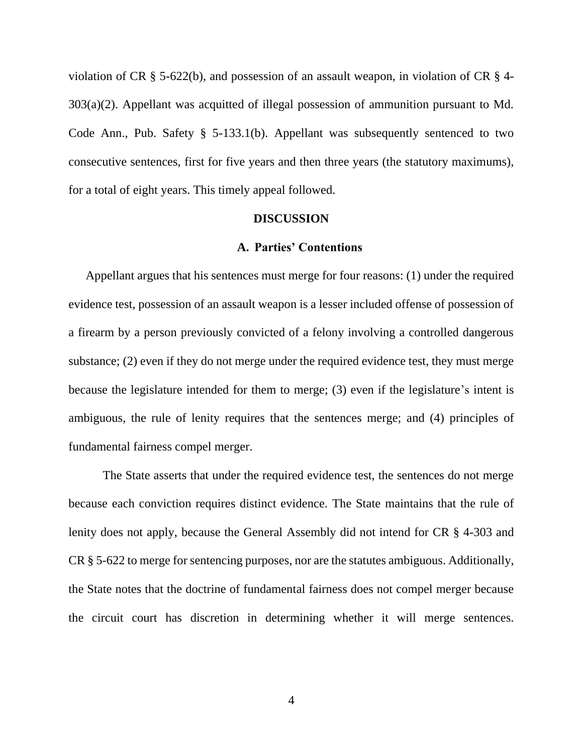violation of CR § 5-622(b), and possession of an assault weapon, in violation of CR § 4- 303(a)(2). Appellant was acquitted of illegal possession of ammunition pursuant to Md. Code Ann., Pub. Safety § 5-133.1(b). Appellant was subsequently sentenced to two consecutive sentences, first for five years and then three years (the statutory maximums), for a total of eight years. This timely appeal followed.

#### **DISCUSSION**

#### **A. Parties' Contentions**

Appellant argues that his sentences must merge for four reasons: (1) under the required evidence test, possession of an assault weapon is a lesser included offense of possession of a firearm by a person previously convicted of a felony involving a controlled dangerous substance; (2) even if they do not merge under the required evidence test, they must merge because the legislature intended for them to merge; (3) even if the legislature's intent is ambiguous, the rule of lenity requires that the sentences merge; and (4) principles of fundamental fairness compel merger.

The State asserts that under the required evidence test, the sentences do not merge because each conviction requires distinct evidence. The State maintains that the rule of lenity does not apply, because the General Assembly did not intend for CR § 4-303 and CR § 5-622 to merge for sentencing purposes, nor are the statutes ambiguous. Additionally, the State notes that the doctrine of fundamental fairness does not compel merger because the circuit court has discretion in determining whether it will merge sentences.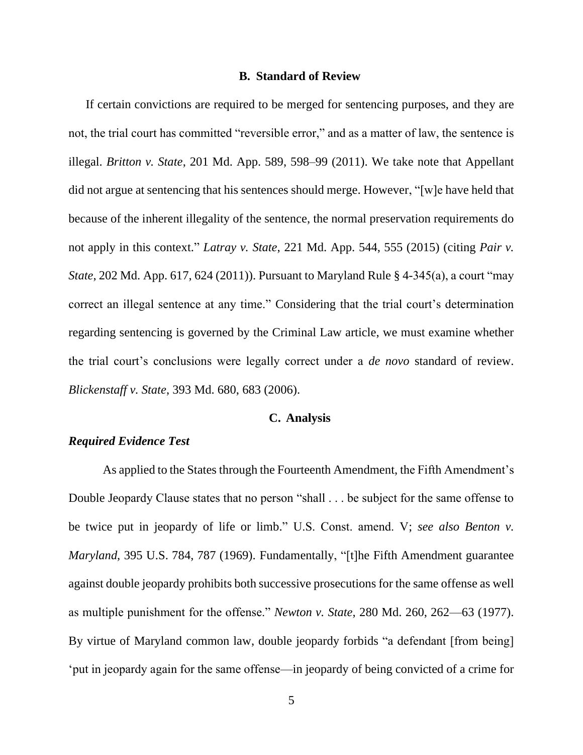#### **B. Standard of Review**

If certain convictions are required to be merged for sentencing purposes, and they are not, the trial court has committed "reversible error," and as a matter of law, the sentence is illegal. *Britton v. State*, 201 Md. App. 589, 598–99 (2011). We take note that Appellant did not argue at sentencing that his sentences should merge. However, "[w]e have held that because of the inherent illegality of the sentence, the normal preservation requirements do not apply in this context." *Latray v. State*, 221 Md. App. 544, 555 (2015) (citing *Pair v. State*, 202 Md. App. 617, 624 (2011)). Pursuant to Maryland Rule § 4-345(a), a court "may correct an illegal sentence at any time." Considering that the trial court's determination regarding sentencing is governed by the Criminal Law article, we must examine whether the trial court's conclusions were legally correct under a *de novo* standard of review. *Blickenstaff v. State*, 393 Md. 680, 683 (2006).

#### **C. Analysis**

#### *Required Evidence Test*

As applied to the States through the Fourteenth Amendment, the Fifth Amendment's Double Jeopardy Clause states that no person "shall . . . be subject for the same offense to be twice put in jeopardy of life or limb." U.S. Const. amend. V; *see also Benton v. Maryland*, 395 U.S. 784, 787 (1969). Fundamentally, "[t]he Fifth Amendment guarantee against double jeopardy prohibits both successive prosecutions for the same offense as well as multiple punishment for the offense." *Newton v. State*, 280 Md. 260, 262—63 (1977). By virtue of Maryland common law, double jeopardy forbids "a defendant [from being] 'put in jeopardy again for the same offense—in jeopardy of being convicted of a crime for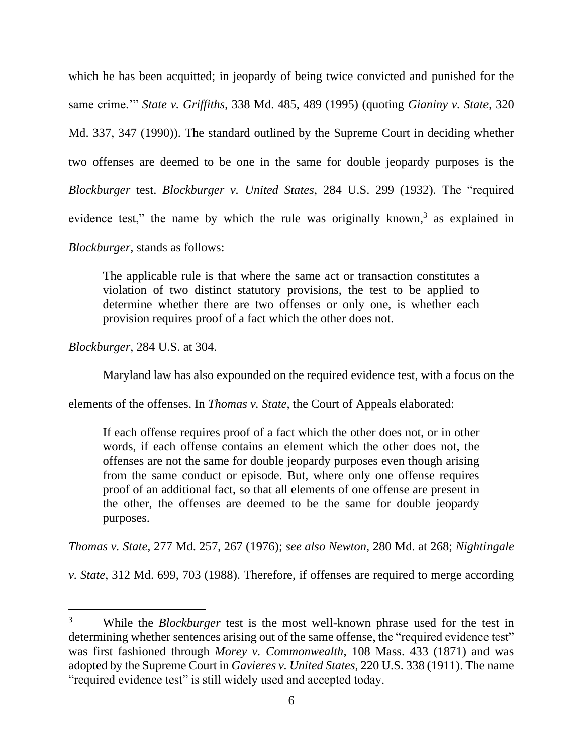which he has been acquitted; in jeopardy of being twice convicted and punished for the same crime.'" *State v. Griffiths*, 338 Md. 485, 489 (1995) (quoting *Gianiny v. State*, 320 Md. 337, 347 (1990)). The standard outlined by the Supreme Court in deciding whether two offenses are deemed to be one in the same for double jeopardy purposes is the *Blockburger* test. *Blockburger v. United States*, 284 U.S. 299 (1932). The "required evidence test," the name by which the rule was originally known,<sup>3</sup> as explained in *Blockburger,* stands as follows:

The applicable rule is that where the same act or transaction constitutes a violation of two distinct statutory provisions, the test to be applied to determine whether there are two offenses or only one, is whether each provision requires proof of a fact which the other does not.

*Blockburger*, 284 U.S. at 304.

Maryland law has also expounded on the required evidence test, with a focus on the

elements of the offenses. In *Thomas v. State*, the Court of Appeals elaborated:

If each offense requires proof of a fact which the other does not, or in other words, if each offense contains an element which the other does not, the offenses are not the same for double jeopardy purposes even though arising from the same conduct or episode. But, where only one offense requires proof of an additional fact, so that all elements of one offense are present in the other, the offenses are deemed to be the same for double jeopardy purposes.

*Thomas v. State*, 277 Md. 257, 267 (1976); *see also Newton*, 280 Md. at 268; *Nightingale* 

*v. State*, 312 Md. 699, 703 (1988). Therefore, if offenses are required to merge according

<sup>3</sup> While the *Blockburger* test is the most well-known phrase used for the test in determining whether sentences arising out of the same offense, the "required evidence test" was first fashioned through *Morey v. Commonwealth*, 108 Mass. 433 (1871) and was adopted by the Supreme Court in *Gavieres v. United States*, 220 U.S. 338 (1911). The name "required evidence test" is still widely used and accepted today.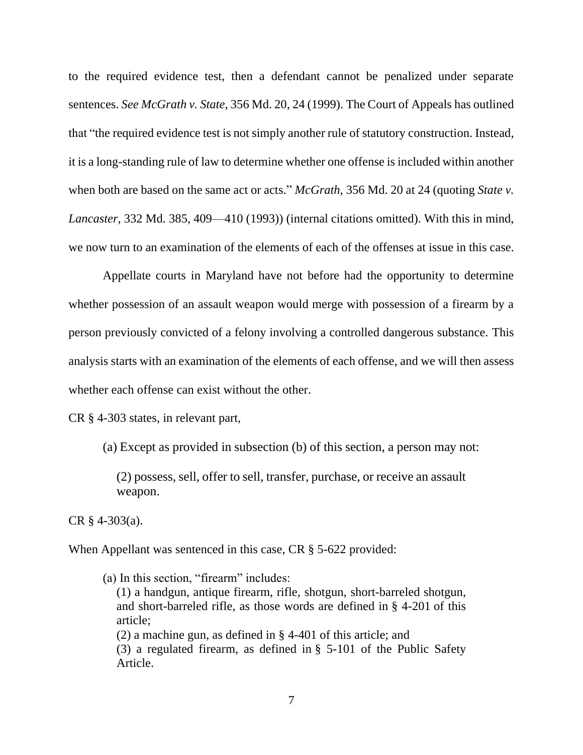to the required evidence test, then a defendant cannot be penalized under separate sentences. *See McGrath v. State*, 356 Md. 20, 24 (1999). The Court of Appeals has outlined that "the required evidence test is not simply another rule of statutory construction. Instead, it is a long-standing rule of law to determine whether one offense is included within another when both are based on the same act or acts." *McGrath*, 356 Md. 20 at 24 (quoting *State v. Lancaster*, 332 Md. 385, 409—410 (1993)) (internal citations omitted). With this in mind, we now turn to an examination of the elements of each of the offenses at issue in this case.

Appellate courts in Maryland have not before had the opportunity to determine whether possession of an assault weapon would merge with possession of a firearm by a person previously convicted of a felony involving a controlled dangerous substance. This analysis starts with an examination of the elements of each offense, and we will then assess whether each offense can exist without the other.

CR § 4-303 states, in relevant part,

(a) Except as provided in subsection (b) of this section, a person may not:

(2) possess, sell, offer to sell, transfer, purchase, or receive an assault weapon.

CR  $§$  4-303(a).

When Appellant was sentenced in this case, CR § 5-622 provided:

(a) In this section, "firearm" includes: (1) a handgun, antique firearm, rifle, shotgun, short-barreled shotgun, and short-barreled rifle, as those words are defined in § [4-201](https://1.next.westlaw.com/Link/Document/FullText?findType=L&pubNum=1016992&cite=MDCRLWS4-201&originatingDoc=NF6FFD7C051C511E9A8A0D4207215C71C&refType=LQ&originationContext=document&transitionType=DocumentItem&contextData=(sc.Folder*cid.d38ee72e16b5406a8fd2e15c3542a95a*oc.UserEnteredCitation)) of this article; (2) a machine gun, as defined in § [4-401](https://1.next.westlaw.com/Link/Document/FullText?findType=L&pubNum=1016992&cite=MDCRLWS4-401&originatingDoc=NF6FFD7C051C511E9A8A0D4207215C71C&refType=LQ&originationContext=document&transitionType=DocumentItem&contextData=(sc.Folder*cid.d38ee72e16b5406a8fd2e15c3542a95a*oc.UserEnteredCitation)) of this article; and (3) a regulated firearm, as defined in § 5-101 of the Public [Safety](https://1.next.westlaw.com/Link/Document/FullText?findType=L&pubNum=1077489&cite=MDPUSTYS5-101&originatingDoc=NF6FFD7C051C511E9A8A0D4207215C71C&refType=LQ&originationContext=document&transitionType=DocumentItem&contextData=(sc.Folder*cid.d38ee72e16b5406a8fd2e15c3542a95a*oc.UserEnteredCitation)) [Article.](https://1.next.westlaw.com/Link/Document/FullText?findType=L&pubNum=1077489&cite=MDPUSTYS5-101&originatingDoc=NF6FFD7C051C511E9A8A0D4207215C71C&refType=LQ&originationContext=document&transitionType=DocumentItem&contextData=(sc.Folder*cid.d38ee72e16b5406a8fd2e15c3542a95a*oc.UserEnteredCitation))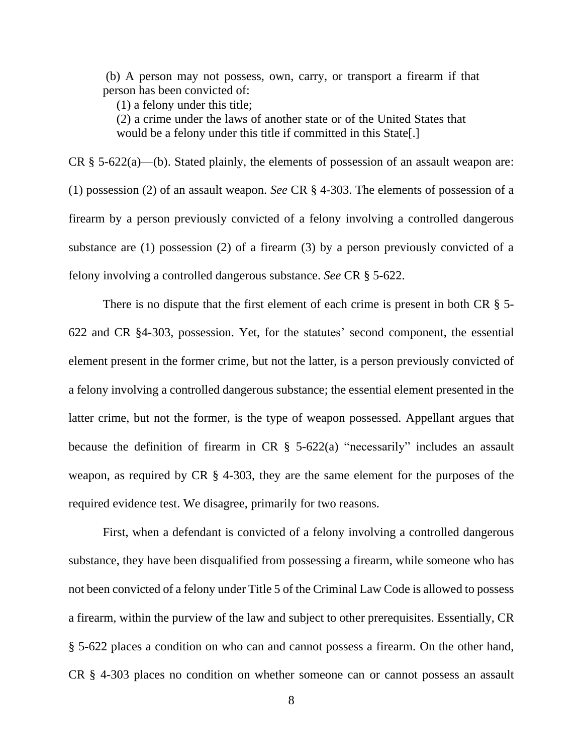(b) A person may not possess, own, carry, or transport a firearm if that person has been convicted of:

(1) a felony under this title;

(2) a crime under the laws of another state or of the United States that would be a felony under this title if committed in this State[.]

CR  $\S$  5-622(a)—(b). Stated plainly, the elements of possession of an assault weapon are: (1) possession (2) of an assault weapon. *See* CR § 4-303. The elements of possession of a firearm by a person previously convicted of a felony involving a controlled dangerous substance are (1) possession (2) of a firearm (3) by a person previously convicted of a felony involving a controlled dangerous substance. *See* CR § 5-622.

There is no dispute that the first element of each crime is present in both CR  $\S$  5-622 and CR §4-303, possession. Yet, for the statutes' second component, the essential element present in the former crime, but not the latter, is a person previously convicted of a felony involving a controlled dangerous substance; the essential element presented in the latter crime, but not the former, is the type of weapon possessed. Appellant argues that because the definition of firearm in CR  $\S$  5-622(a) "necessarily" includes an assault weapon, as required by CR § 4-303, they are the same element for the purposes of the required evidence test. We disagree, primarily for two reasons.

First, when a defendant is convicted of a felony involving a controlled dangerous substance, they have been disqualified from possessing a firearm, while someone who has not been convicted of a felony under Title 5 of the Criminal Law Code is allowed to possess a firearm, within the purview of the law and subject to other prerequisites. Essentially, CR § 5-622 places a condition on who can and cannot possess a firearm. On the other hand, CR § 4-303 places no condition on whether someone can or cannot possess an assault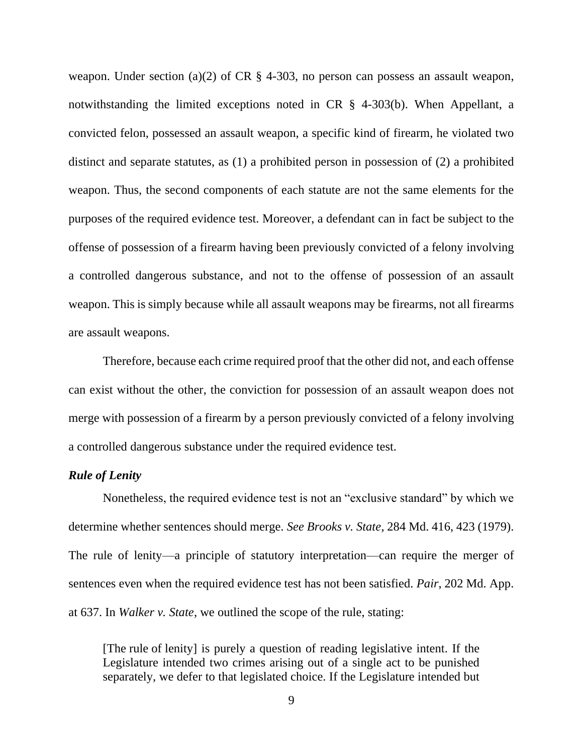weapon. Under section (a)(2) of CR § 4-303, no person can possess an assault weapon, notwithstanding the limited exceptions noted in CR § 4-303(b). When Appellant, a convicted felon, possessed an assault weapon, a specific kind of firearm, he violated two distinct and separate statutes, as (1) a prohibited person in possession of (2) a prohibited weapon. Thus, the second components of each statute are not the same elements for the purposes of the required evidence test. Moreover, a defendant can in fact be subject to the offense of possession of a firearm having been previously convicted of a felony involving a controlled dangerous substance, and not to the offense of possession of an assault weapon. This is simply because while all assault weapons may be firearms, not all firearms are assault weapons.

Therefore, because each crime required proof that the other did not, and each offense can exist without the other, the conviction for possession of an assault weapon does not merge with possession of a firearm by a person previously convicted of a felony involving a controlled dangerous substance under the required evidence test.

#### *Rule of Lenity*

Nonetheless, the required evidence test is not an "exclusive standard" by which we determine whether sentences should merge. *See Brooks v. State*, 284 Md. 416, 423 (1979). The rule of lenity—a principle of statutory interpretation—can require the merger of sentences even when the required evidence test has not been satisfied. *Pair*, 202 Md. App. at 637. In *Walker v. State*, we outlined the scope of the rule, stating:

[The rule of lenity] is purely a question of reading legislative intent. If the Legislature intended two crimes arising out of a single act to be punished separately, we defer to that legislated choice. If the Legislature intended but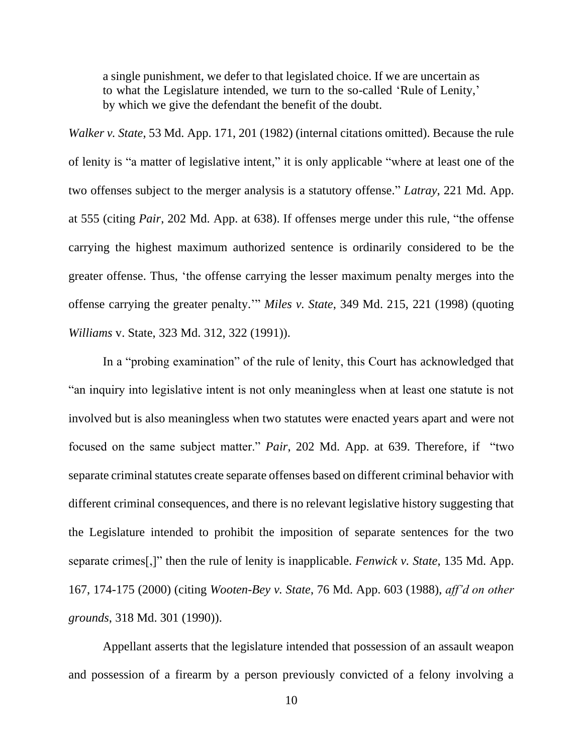a single punishment, we defer to that legislated choice. If we are uncertain as to what the Legislature intended, we turn to the so-called 'Rule of Lenity,' by which we give the defendant the benefit of the doubt.

*Walker v. State*, 53 Md. App. 171, 201 (1982) (internal citations omitted). Because the rule of lenity is "a matter of legislative intent," it is only applicable "where at least one of the two offenses subject to the merger analysis is a statutory offense." *Latray*, 221 Md. App. at 555 (citing *Pair*, 202 Md. App. at 638). If offenses merge under this rule, "the offense carrying the highest maximum authorized sentence is ordinarily considered to be the greater offense. Thus, 'the offense carrying the lesser maximum penalty merges into the offense carrying the greater penalty.'" *Miles v. State*, 349 Md. 215, 221 (1998) (quoting *Williams* v. State, 323 Md. 312, 322 (1991)).

In a "probing examination" of the rule of lenity, this Court has acknowledged that "an inquiry into legislative intent is not only meaningless when at least one statute is not involved but is also meaningless when two statutes were enacted years apart and were not focused on the same subject matter." *Pair*, 202 Md. App. at 639. Therefore, if "two separate criminal statutes create separate offenses based on different criminal behavior with different criminal consequences, and there is no relevant legislative history suggesting that the Legislature intended to prohibit the imposition of separate sentences for the two separate crimes[,]" then the rule of lenity is inapplicable. *Fenwick v. State*, 135 Md. App. 167, 174-175 (2000) (citing *Wooten-Bey v. State*, 76 Md. App. 603 (1988), *aff'd on other grounds*, 318 Md. 301 (1990)).

Appellant asserts that the legislature intended that possession of an assault weapon and possession of a firearm by a person previously convicted of a felony involving a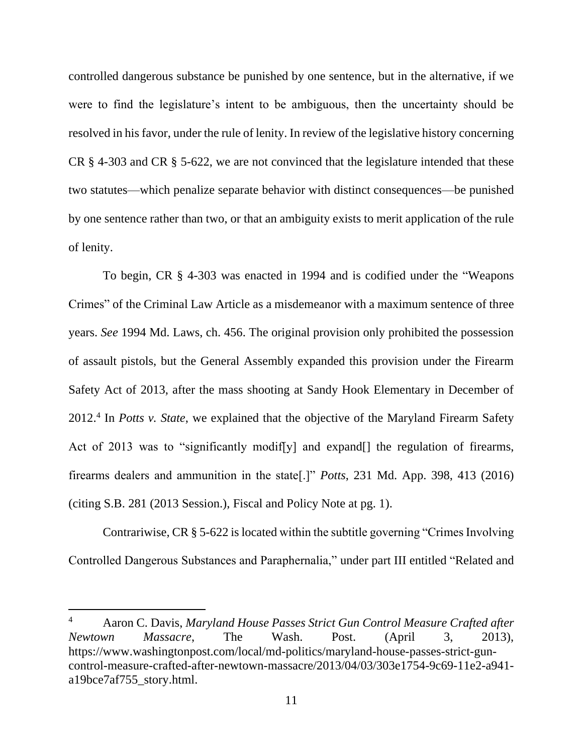controlled dangerous substance be punished by one sentence, but in the alternative, if we were to find the legislature's intent to be ambiguous, then the uncertainty should be resolved in his favor, under the rule of lenity. In review of the legislative history concerning CR § 4-303 and CR § 5-622, we are not convinced that the legislature intended that these two statutes—which penalize separate behavior with distinct consequences—be punished by one sentence rather than two, or that an ambiguity exists to merit application of the rule of lenity.

To begin, CR § 4-303 was enacted in 1994 and is codified under the "Weapons Crimes" of the Criminal Law Article as a misdemeanor with a maximum sentence of three years. *See* 1994 Md. Laws, ch. 456. The original provision only prohibited the possession of assault pistols, but the General Assembly expanded this provision under the Firearm Safety Act of 2013, after the mass shooting at Sandy Hook Elementary in December of 2012.<sup>4</sup> In *Potts v. State*, we explained that the objective of the Maryland Firearm Safety Act of 2013 was to "significantly modiffy] and expand net regulation of firearms, firearms dealers and ammunition in the state[.]" *Potts*, 231 Md. App. 398, 413 (2016) (citing S.B. 281 (2013 Session.), Fiscal and Policy Note at pg. 1).

Contrariwise, CR § 5-622 is located within the subtitle governing "Crimes Involving Controlled Dangerous Substances and Paraphernalia," under part III entitled "Related and

<sup>4</sup> Aaron C. Davis, *Maryland House Passes Strict Gun Control Measure Crafted after Newtown Massacre*, The Wash. Post. (April 3, 2013), https://www.washingtonpost.com/local/md-politics/maryland-house-passes-strict-guncontrol-measure-crafted-after-newtown-massacre/2013/04/03/303e1754-9c69-11e2-a941 a19bce7af755\_story.html.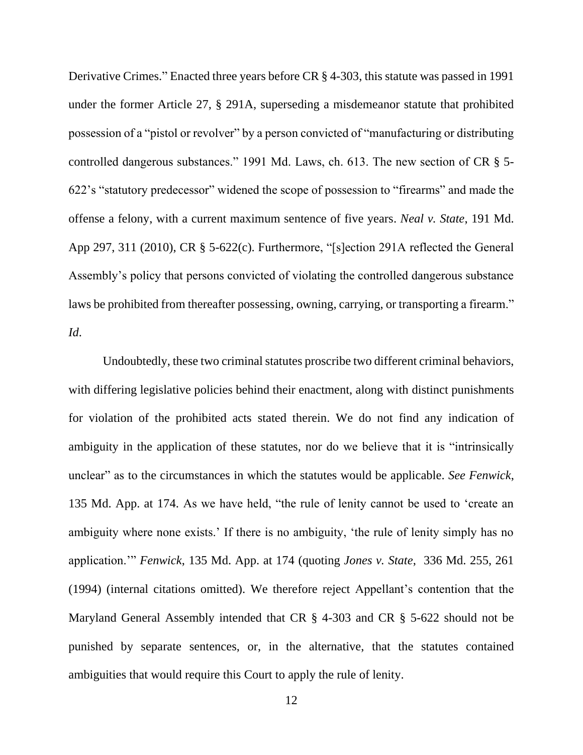Derivative Crimes." Enacted three years before CR § 4-303, this statute was passed in 1991 under the former Article 27, § 291A, superseding a misdemeanor statute that prohibited possession of a "pistol or revolver" by a person convicted of "manufacturing or distributing controlled dangerous substances." 1991 Md. Laws, ch. 613. The new section of CR § 5- 622's "statutory predecessor" widened the scope of possession to "firearms" and made the offense a felony, with a current maximum sentence of five years. *Neal v. State*, 191 Md. App 297, 311 (2010), CR § 5-622(c). Furthermore, "[s]ection 291A reflected the General Assembly's policy that persons convicted of violating the controlled dangerous substance laws be prohibited from thereafter possessing, owning, carrying, or transporting a firearm." *Id*.

Undoubtedly, these two criminal statutes proscribe two different criminal behaviors, with differing legislative policies behind their enactment, along with distinct punishments for violation of the prohibited acts stated therein. We do not find any indication of ambiguity in the application of these statutes, nor do we believe that it is "intrinsically unclear" as to the circumstances in which the statutes would be applicable. *See Fenwick*, 135 Md. App. at 174. As we have held, "the rule of lenity cannot be used to 'create an ambiguity where none exists.' If there is no ambiguity, 'the rule of lenity simply has no application.'" *Fenwick*, 135 Md. App. at 174 (quoting *Jones v. State*, 336 Md. 255, 261 (1994) (internal citations omitted). We therefore reject Appellant's contention that the Maryland General Assembly intended that CR § 4-303 and CR § 5-622 should not be punished by separate sentences, or, in the alternative, that the statutes contained ambiguities that would require this Court to apply the rule of lenity.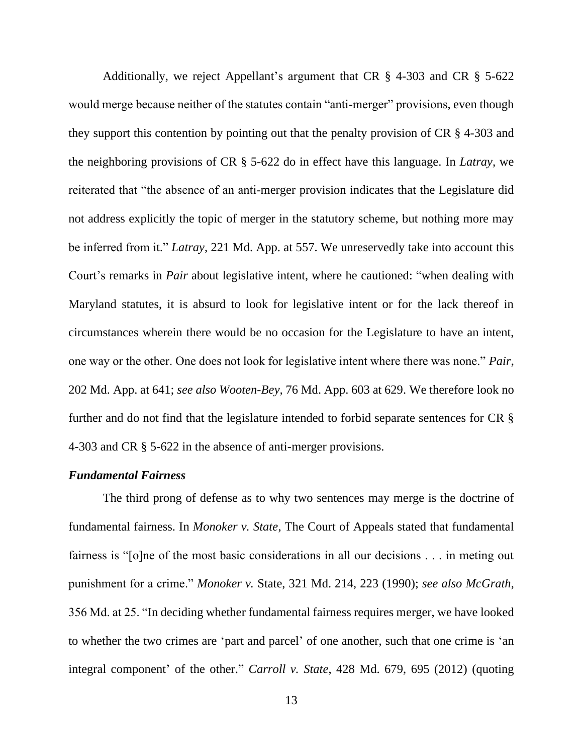Additionally, we reject Appellant's argument that CR § 4-303 and CR § 5-622 would merge because neither of the statutes contain "anti-merger" provisions, even though they support this contention by pointing out that the penalty provision of CR § 4-303 and the neighboring provisions of CR § 5-622 do in effect have this language. In *Latray,* we reiterated that "the absence of an anti-merger provision indicates that the Legislature did not address explicitly the topic of merger in the statutory scheme, but nothing more may be inferred from it." *Latray*, 221 Md. App. at 557. We unreservedly take into account this Court's remarks in *Pair* about legislative intent, where he cautioned: "when dealing with Maryland statutes, it is absurd to look for legislative intent or for the lack thereof in circumstances wherein there would be no occasion for the Legislature to have an intent, one way or the other. One does not look for legislative intent where there was none." *Pair*, 202 Md. App. at 641; *see also Wooten-Bey,* 76 Md. App. 603 at 629. We therefore look no further and do not find that the legislature intended to forbid separate sentences for CR § 4-303 and CR § 5-622 in the absence of anti-merger provisions.

#### *Fundamental Fairness*

The third prong of defense as to why two sentences may merge is the doctrine of fundamental fairness. In *Monoker v. State*, The Court of Appeals stated that fundamental fairness is "[o]ne of the most basic considerations in all our decisions . . . in meting out punishment for a crime." *Monoker v.* State, 321 Md. 214, 223 (1990); *see also McGrath,*  356 Md. at 25. "In deciding whether fundamental fairness requires merger, we have looked to whether the two crimes are 'part and parcel' of one another, such that one crime is 'an integral component' of the other." *Carroll v. State*, 428 Md. 679, 695 (2012) (quoting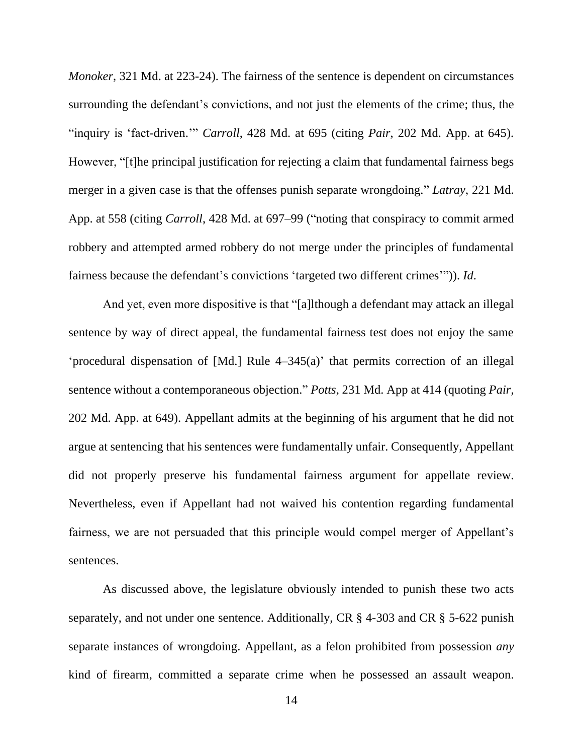*Monoker*, 321 Md. at 223-24). The fairness of the sentence is dependent on circumstances surrounding the defendant's convictions, and not just the elements of the crime; thus, the "inquiry is 'fact-driven.'" *Carroll*, 428 Md. at 695 (citing *Pair*, 202 Md. App. at 645). However, "[t]he principal justification for rejecting a claim that fundamental fairness begs merger in a given case is that the offenses punish separate wrongdoing." *Latray*, 221 Md. App. at 558 (citing *Carroll*, 428 Md. at 697–99 ("noting that conspiracy to commit armed robbery and attempted armed robbery do not merge under the principles of fundamental fairness because the defendant's convictions 'targeted two different crimes'")). *Id*.

And yet, even more dispositive is that "[a]lthough a defendant may attack an illegal sentence by way of direct appeal, the fundamental fairness test does not enjoy the same 'procedural dispensation of [Md.] Rule 4–345(a)' that permits correction of an illegal sentence without a contemporaneous objection." *Potts*, 231 Md. App at 414 (quoting *Pair,*  202 Md. App. at 649). Appellant admits at the beginning of his argument that he did not argue at sentencing that his sentences were fundamentally unfair. Consequently, Appellant did not properly preserve his fundamental fairness argument for appellate review. Nevertheless, even if Appellant had not waived his contention regarding fundamental fairness, we are not persuaded that this principle would compel merger of Appellant's sentences.

As discussed above, the legislature obviously intended to punish these two acts separately, and not under one sentence. Additionally, CR § 4-303 and CR § 5-622 punish separate instances of wrongdoing. Appellant, as a felon prohibited from possession *any*  kind of firearm, committed a separate crime when he possessed an assault weapon.